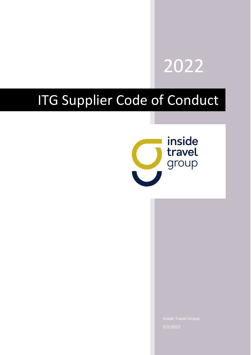

# ITG Supplier Code of Conduct

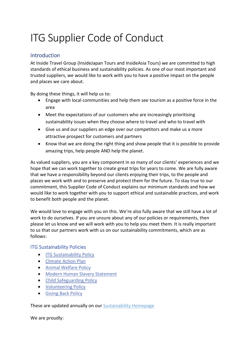# ITG Supplier Code of Conduct

# Introduction

At Inside Travel Group (InsideJapan Tours and InsideAsia Tours) we are committed to high standards of ethical business and sustainability policies. As one of our most important and trusted suppliers, we would like to work with you to have a positive impact on the people and places we care about.

By doing these things, it will help us to:

- Engage with local communities and help them see tourism as a positive force in the area
- Meet the expectations of our customers who are increasingly prioritising sustainability issues when they choose where to travel and who to travel with
- Give us and our suppliers an edge over our competitors and make us a more attractive prospect for customers and partners
- Know that we are doing the right thing and show people that it is possible to provide amazing trips, help people AND help the planet.

As valued suppliers, you are a key component in so many of our clients' experiences and we hope that we can work together to create great trips for years to come. We are fully aware that we have a responsibility beyond our clients enjoying their trips, to the people and places we work with and to preserve and protect them for the future. To stay true to our commitment, this Supplier Code of Conduct explains our minimum standards and how we would like to work together with you to support ethical and sustainable practices, and work to benefit both people and the planet.

We would love to engage with you on this. We're also fully aware that we still have a lot of work to do ourselves. If you are unsure about any of our policies or requirements, then please let us know and we will work with you to help you meet them. It is really important to us that our partners work with us on our sustainability commitments, which are as follows:

### <span id="page-1-0"></span>ITG Sustainability Policies

- **[ITG Sustainability Policy](http://www.insidetravelgroup.com/InsideJapan/Sustainability/ITG-Sustainability-Policy-October-2021-External.pdf)**
- [Climate Action Plan](http://www.insidetravelgroup.com/InsideJapan/Sustainability/ITG-Climate-Action-Plan-2021.pdf)
- [Animal Welfare Policy](http://www.insidetravelgroup.com/InsideJapan/Sustainability/Animal-Welfare-Policy-External-2022.pdf)
- [Modern Human Slavery Statement](http://www.insidetravelgroup.com/InsideJapan/Sustainability/ITG-Modern-Human-Slavery-Statement-2020-21.pdf)
- [Child Safeguarding Policy](http://www.insidetravelgroup.com/InsideJapan/Sustainability/ITG-Child-Safeguarding-Policy-External.pdf)
- [Volunteering Policy](http://www.insidetravelgroup.com/InsideJapan/Sustainability/ITG-Volunteering-Policy-External-November-2020.pdf)
- [Giving Back Policy](http://www.insidetravelgroup.com/InsideJapan/Sustainability/Giving-Back-Policy-External-Nov-2020.pdf)

#### These are updated annually on our **Sustainability Homepage**

We are proudly: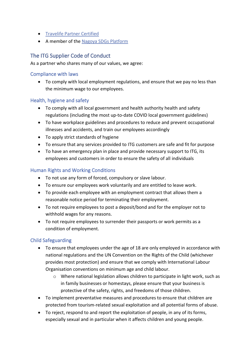- [Travelife Partner Certified](https://www.travelife.info/index_new.php?menu=home&lang=en)
- A member of th[e Nagoya SDGs Platform](https://sdgs-pf.city.nagoya.jp/)

# The ITG Supplier Code of Conduct

As a partner who shares many of our values, we agree:

#### Compliance with laws

• To comply with local employment regulations, and ensure that we pay no less than the minimum wage to our employees.

### Health, hygiene and safety

- To comply with all local government and health authority health and safety regulations (including the most up-to-date COVID local government guidelines)
- To have workplace guidelines and procedures to reduce and prevent occupational illnesses and accidents, and train our employees accordingly
- To apply strict standards of hygiene
- To ensure that any services provided to ITG customers are safe and fit for purpose
- To have an emergency plan in place and provide necessary support to ITG, its employees and customers in order to ensure the safety of all individuals

#### Human Rights and Working Conditions

- To not use any form of forced, compulsory or slave labour.
- To ensure our employees work voluntarily and are entitled to leave work.
- To provide each employee with an employment contract that allows them a reasonable notice period for terminating their employment.
- To not require employees to post a deposit/bond and for the employer not to withhold wages for any reasons.
- To not require employees to surrender their passports or work permits as a condition of employment.

### Child Safeguarding

- To ensure that employees under the age of 18 are only employed in accordance with national regulations and the UN Convention on the Rights of the Child (whichever provides most protection) and ensure that we comply with International Labour Organisation conventions on minimum age and child labour.
	- o Where national legislation allows children to participate in light work, such as in family businesses or homestays, please ensure that your business is protective of the safety, rights, and freedoms of those children.
- To implement preventative measures and procedures to ensure that children are protected from tourism-related sexual exploitation and all potential forms of abuse.
- To reject, respond to and report the exploitation of people, in any of its forms, especially sexual and in particular when it affects children and young people.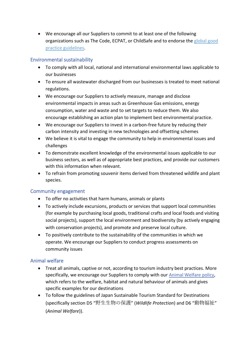• We encourage all our Suppliers to commit to at least one of the following organizations such as The Code, ECPAT, or ChildSafe and to endorse the [global good](#page-5-0)  [practice guidelines.](#page-5-0)

## Environmental sustainability

- To comply with all local, national and international environmental laws applicable to our businesses
- To ensure all wastewater discharged from our businesses is treated to meet national regulations.
- We encourage our Suppliers to actively measure, manage and disclose environmental impacts in areas such as Greenhouse Gas emissions, energy consumption, water and waste and to set targets to reduce them. We also encourage establishing an action plan to implement best environmental practice.
- We encourage our Suppliers to invest in a carbon-free future by reducing their carbon intensity and investing in new technologies and offsetting schemes
- We believe it is vital to engage the community to help in environmental issues and challenges
- To demonstrate excellent knowledge of the environmental issues applicable to our business sectors, as well as of appropriate best practices, and provide our customers with this information when relevant.
- To refrain from promoting souvenir items derived from threatened wildlife and plant species.

### Community engagement

- To offer no activities that harm humans, animals or plants
- To actively include excursions, products or services that support local communities (for example by purchasing local goods, traditional crafts and local foods and visiting social projects), support the local environment and biodiversity (by actively engaging with conservation projects), and promote and preserve local culture.
- To positively contribute to the sustainability of the communities in which we operate. We encourage our Suppliers to conduct progress assessments on community issues

# Animal welfare

- Treat all animals, captive or not, according to tourism industry best practices. More specifically, we encourage our Suppliers to comply with our [Animal Welfare policy,](#page-1-0) which refers to the welfare, habitat and natural behaviour of animals and gives specific examples for our destinations
- To follow the guidelines of Japan Sustainable Tourism Standard for Destinations (specifically section D5 "野生生物の保護" (*Wildlife Protection*) and D6 "動物福祉" (*Animal Welfare*)).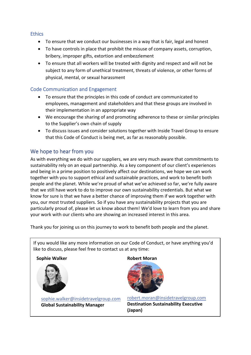#### **Ethics**

- To ensure that we conduct our businesses in a way that is fair, legal and honest
- To have controls in place that prohibit the misuse of company assets, corruption, bribery, improper gifts, extortion and embezzlement
- To ensure that all workers will be treated with dignity and respect and will not be subject to any form of unethical treatment, threats of violence, or other forms of physical, mental, or sexual harassment

### Code Communication and Engagement

- To ensure that the principles in this code of conduct are communicated to employees, management and stakeholders and that these groups are involved in their implementation in an appropriate way
- We encourage the sharing of and promoting adherence to these or similar principles to the Supplier's own chain of supply
- To discuss issues and consider solutions together with Inside Travel Group to ensure that this Code of Conduct is being met, as far as reasonably possible.

# We hope to hear from you

As with everything we do with our suppliers, we are very much aware that commitments to sustainability rely on an equal partnership. As a key component of our client's experiences and being in a prime position to positively affect our destinations, we hope we can work together with you to support ethical and sustainable practices, and work to benefit both people and the planet. While we're proud of what we've achieved so far, we're fully aware that we still have work to do to improve our own sustainability credentials. But what we know for sure is that we have a better chance of improving them if we work together with you, our most trusted suppliers. So if you have any sustainability projects that you are particularly proud of, please let us know about them! We'd love to learn from you and share your work with our clients who are showing an increased interest in this area.

Thank you for joining us on this journey to work to benefit both people and the planet.

If you would like any more information on our Code of Conduct, or have anything you'd like to discuss, please feel free to contact us at any time:

#### **Sophie Walker**



sophie.walker@insidetravelgroup.com [sophie.walker@insidetravelgroup.com](mailto:sophie.walker@insidetravelgroup.com) **ITG Global Sustainability Manager Global Sustainability Manager**

#### **Robert Moran**



[robert.moran@insidetravelgroup.com](mailto:robert.moran@insidetravelgroup.com) **Destination Sustainability Executive (Japan)**